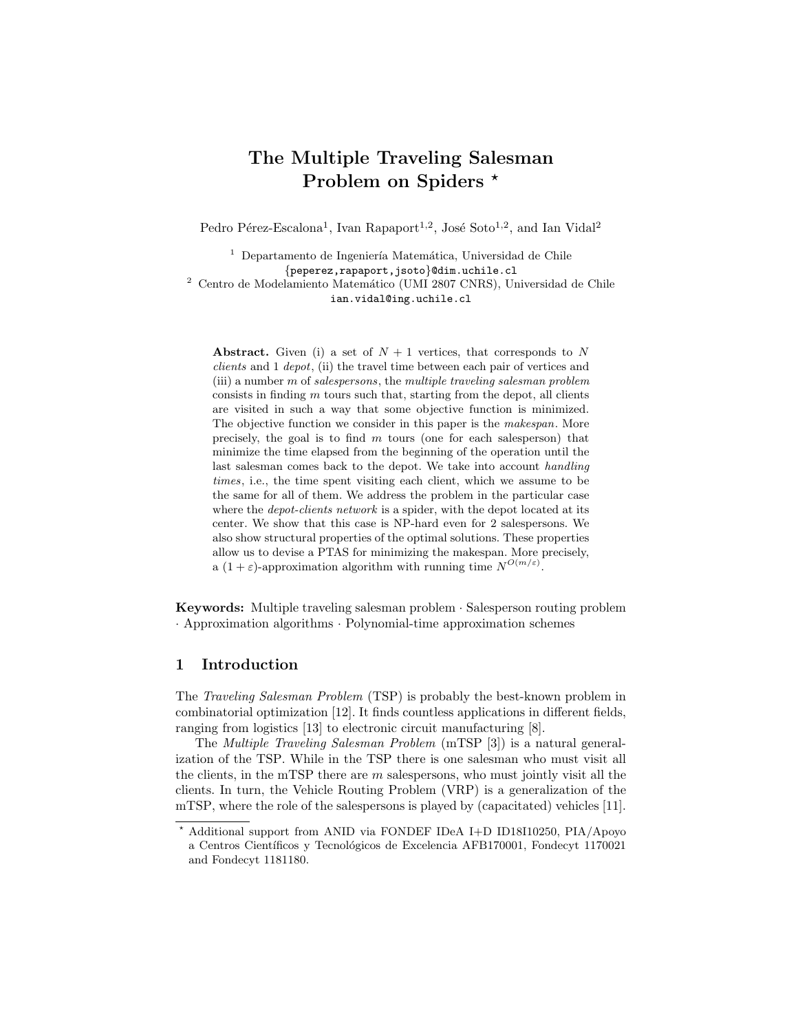# The Multiple Traveling Salesman Problem on Spiders \*

Pedro Pérez-Escalona<sup>1</sup>, Ivan Rapaport<sup>1,2</sup>, José Soto<sup>1,2</sup>, and Ian Vidal<sup>2</sup>

 $<sup>1</sup>$  Departamento de Ingeniería Matemática, Universidad de Chile</sup> {peperez,rapaport,jsoto}@dim.uchile.cl  $^2$  Centro de Modelamiento Matemático (UMI 2807 CNRS), Universidad de Chile ian.vidal@ing.uchile.cl

Abstract. Given (i) a set of  $N+1$  vertices, that corresponds to N clients and 1 depot, (ii) the travel time between each pair of vertices and (iii) a number  $m$  of salespersons, the multiple traveling salesman problem consists in finding  $m$  tours such that, starting from the depot, all clients are visited in such a way that some objective function is minimized. The objective function we consider in this paper is the makespan. More precisely, the goal is to find  $m$  tours (one for each salesperson) that minimize the time elapsed from the beginning of the operation until the last salesman comes back to the depot. We take into account handling times, i.e., the time spent visiting each client, which we assume to be the same for all of them. We address the problem in the particular case where the *depot-clients network* is a spider, with the depot located at its center. We show that this case is NP-hard even for 2 salespersons. We also show structural properties of the optimal solutions. These properties allow us to devise a PTAS for minimizing the makespan. More precisely, a  $(1+\varepsilon)$ -approximation algorithm with running time  $N^{O(m/\varepsilon)}$ .

Keywords: Multiple traveling salesman problem · Salesperson routing problem · Approximation algorithms · Polynomial-time approximation schemes

# 1 Introduction

The Traveling Salesman Problem (TSP) is probably the best-known problem in combinatorial optimization [12]. It finds countless applications in different fields, ranging from logistics [13] to electronic circuit manufacturing [8].

The Multiple Traveling Salesman Problem (mTSP [3]) is a natural generalization of the TSP. While in the TSP there is one salesman who must visit all the clients, in the mTSP there are  $m$  salespersons, who must jointly visit all the clients. In turn, the Vehicle Routing Problem (VRP) is a generalization of the mTSP, where the role of the salespersons is played by (capacitated) vehicles [11].

<sup>?</sup> Additional support from ANID via FONDEF IDeA I+D ID18I10250, PIA/Apoyo a Centros Científicos y Tecnológicos de Excelencia AFB170001, Fondecyt 1170021 and Fondecyt 1181180.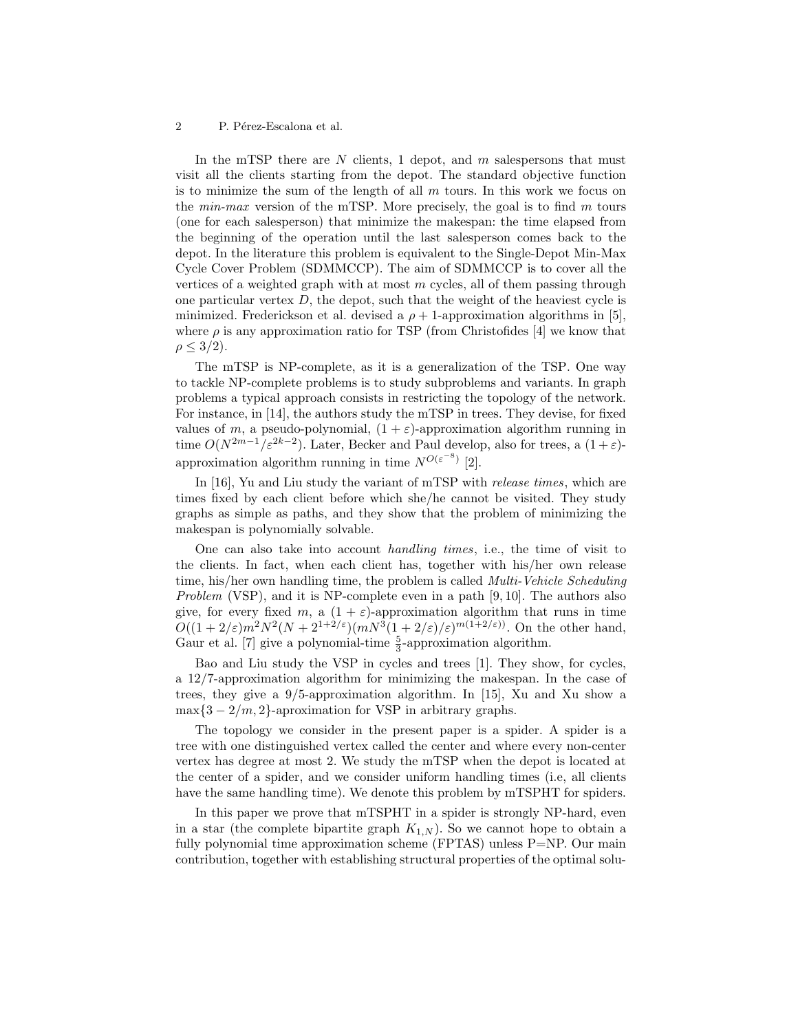In the mTSP there are  $N$  clients, 1 depot, and  $m$  salespersons that must visit all the clients starting from the depot. The standard objective function is to minimize the sum of the length of all  $m$  tours. In this work we focus on the  $min\text{-}max$  version of the mTSP. More precisely, the goal is to find m tours (one for each salesperson) that minimize the makespan: the time elapsed from the beginning of the operation until the last salesperson comes back to the depot. In the literature this problem is equivalent to the Single-Depot Min-Max Cycle Cover Problem (SDMMCCP). The aim of SDMMCCP is to cover all the vertices of a weighted graph with at most  $m$  cycles, all of them passing through one particular vertex  $D$ , the depot, such that the weight of the heaviest cycle is minimized. Frederickson et al. devised a  $\rho + 1$ -approximation algorithms in [5], where  $\rho$  is any approximation ratio for TSP (from Christofides [4] we know that  $\rho \leq 3/2$ ).

The mTSP is NP-complete, as it is a generalization of the TSP. One way to tackle NP-complete problems is to study subproblems and variants. In graph problems a typical approach consists in restricting the topology of the network. For instance, in [14], the authors study the mTSP in trees. They devise, for fixed values of m, a pseudo-polynomial,  $(1 + \varepsilon)$ -approximation algorithm running in time  $O(N^{2m-1}/\varepsilon^{2k-2})$ . Later, Becker and Paul develop, also for trees, a  $(1+\varepsilon)$ approximation algorithm running in time  $N^{O(\varepsilon^{-8})}$  [2].

In [16], Yu and Liu study the variant of mTSP with *release times*, which are times fixed by each client before which she/he cannot be visited. They study graphs as simple as paths, and they show that the problem of minimizing the makespan is polynomially solvable.

One can also take into account handling times, i.e., the time of visit to the clients. In fact, when each client has, together with his/her own release time, his/her own handling time, the problem is called *Multi-Vehicle Scheduling* Problem (VSP), and it is NP-complete even in a path [9, 10]. The authors also give, for every fixed m, a  $(1 + \varepsilon)$ -approximation algorithm that runs in time  $O((1+2/\varepsilon)m^2N^2(N+2^{1+2/\varepsilon})(mN^3(1+2/\varepsilon)/\varepsilon)^{m(1+2/\varepsilon)}$ . On the other hand, Gaur et al. [7] give a polynomial-time  $\frac{5}{3}$ -approximation algorithm.

Bao and Liu study the VSP in cycles and trees [1]. They show, for cycles, a 12/7-approximation algorithm for minimizing the makespan. In the case of trees, they give a 9/5-approximation algorithm. In [15], Xu and Xu show a  $\max\{3-2/m, 2\}$ -aproximation for VSP in arbitrary graphs.

The topology we consider in the present paper is a spider. A spider is a tree with one distinguished vertex called the center and where every non-center vertex has degree at most 2. We study the mTSP when the depot is located at the center of a spider, and we consider uniform handling times (i.e, all clients have the same handling time). We denote this problem by mTSPHT for spiders.

In this paper we prove that mTSPHT in a spider is strongly NP-hard, even in a star (the complete bipartite graph  $K_{1,N}$ ). So we cannot hope to obtain a fully polynomial time approximation scheme (FPTAS) unless P=NP. Our main contribution, together with establishing structural properties of the optimal solu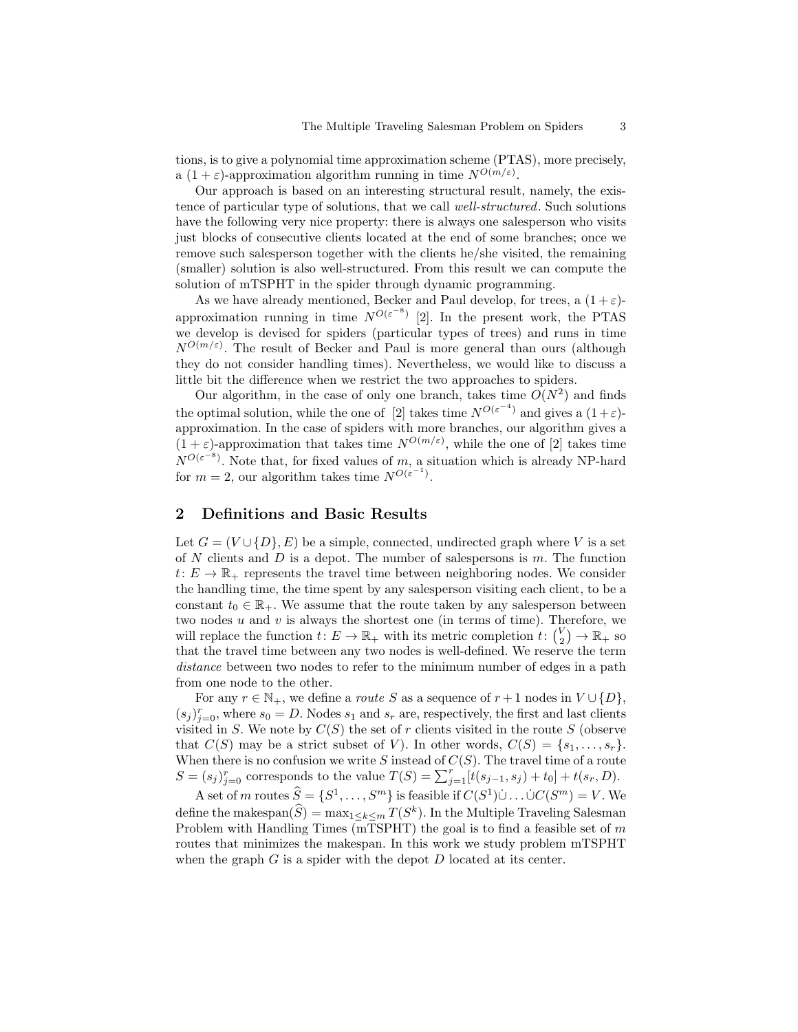tions, is to give a polynomial time approximation scheme (PTAS), more precisely, a  $(1+\varepsilon)$ -approximation algorithm running in time  $N^{O(m/\varepsilon)}$ .

Our approach is based on an interesting structural result, namely, the existence of particular type of solutions, that we call well-structured. Such solutions have the following very nice property: there is always one salesperson who visits just blocks of consecutive clients located at the end of some branches; once we remove such salesperson together with the clients he/she visited, the remaining (smaller) solution is also well-structured. From this result we can compute the solution of mTSPHT in the spider through dynamic programming.

As we have already mentioned, Becker and Paul develop, for trees, a  $(1+\varepsilon)$ approximation running in time  $N^{O(\varepsilon^{-8})}$  [2]. In the present work, the PTAS we develop is devised for spiders (particular types of trees) and runs in time  $N^{O(m/\varepsilon)}$ . The result of Becker and Paul is more general than ours (although they do not consider handling times). Nevertheless, we would like to discuss a little bit the difference when we restrict the two approaches to spiders.

Our algorithm, in the case of only one branch, takes time  $O(N^2)$  and finds the optimal solution, while the one of [2] takes time  $N^{O(\varepsilon^{-4})}$  and gives a  $(1+\varepsilon)$ approximation. In the case of spiders with more branches, our algorithm gives a  $(1+\varepsilon)$ -approximation that takes time  $N^{O(m/\varepsilon)}$ , while the one of [2] takes time  $N^{O(\varepsilon^{-8})}$ . Note that, for fixed values of m, a situation which is already NP-hard for  $m = 2$ , our algorithm takes time  $N^{O(\varepsilon^{-1})}$ .

## 2 Definitions and Basic Results

Let  $G = (V \cup \{D\}, E)$  be a simple, connected, undirected graph where V is a set of  $N$  clients and  $D$  is a depot. The number of salespersons is  $m$ . The function  $t: E \to \mathbb{R}_+$  represents the travel time between neighboring nodes. We consider the handling time, the time spent by any salesperson visiting each client, to be a constant  $t_0 \in \mathbb{R}_+$ . We assume that the route taken by any salesperson between two nodes  $u$  and  $v$  is always the shortest one (in terms of time). Therefore, we will replace the function  $t: E \to \mathbb{R}_+$  with its metric completion  $t: \binom{V}{2} \to \mathbb{R}_+$  so that the travel time between any two nodes is well-defined. We reserve the term distance between two nodes to refer to the minimum number of edges in a path from one node to the other.

For any  $r \in \mathbb{N}_+$ , we define a *route* S as a sequence of  $r + 1$  nodes in  $V \cup \{D\}$ ,  $(s_j)_{j=0}^r$ , where  $s_0 = D$ . Nodes  $s_1$  and  $s_r$  are, respectively, the first and last clients visited in S. We note by  $C(S)$  the set of r clients visited in the route S (observe that  $C(S)$  may be a strict subset of V). In other words,  $C(S) = \{s_1, \ldots, s_r\}.$ When there is no confusion we write  $S$  instead of  $C(S)$ . The travel time of a route  $S = (s_j)_{j=0}^r$  corresponds to the value  $T(S) = \sum_{j=1}^r [t(s_{j-1}, s_j) + t_0] + t(s_r, D)$ .

A set of m routes  $\widehat{S} = \{S^1, \ldots, S^m\}$  is feasible if  $C(S^1) \cup \ldots \cup C(S^m) = V$ . We define the makespan $(\widehat{S}) = \max_{1 \le k \le m} T(S^k)$ . In the Multiple Traveling Salesman Problem with Handling Times (mTSPHT) the goal is to find a feasible set of  $m$ routes that minimizes the makespan. In this work we study problem mTSPHT when the graph  $G$  is a spider with the depot  $D$  located at its center.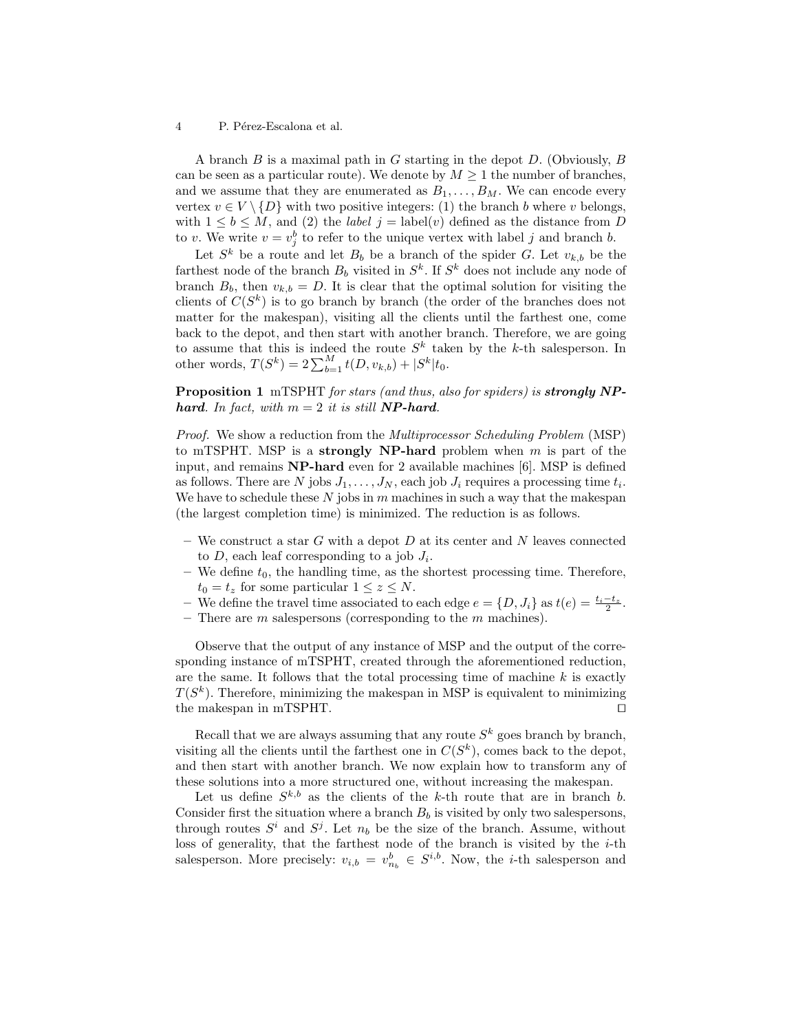A branch  $B$  is a maximal path in  $G$  starting in the depot  $D$ . (Obviously,  $B$ can be seen as a particular route). We denote by  $M \geq 1$  the number of branches, and we assume that they are enumerated as  $B_1, \ldots, B_M$ . We can encode every vertex  $v \in V \setminus \{D\}$  with two positive integers: (1) the branch b where v belongs, with  $1 \leq b \leq M$ , and (2) the *label*  $j =$  label(v) defined as the distance from D to v. We write  $v = v_j^b$  to refer to the unique vertex with label j and branch b.

Let  $S^k$  be a route and let  $B_b$  be a branch of the spider G. Let  $v_{k,b}$  be the farthest node of the branch  $B_b$  visited in  $S^k$ . If  $S^k$  does not include any node of branch  $B_b$ , then  $v_{k,b} = D$ . It is clear that the optimal solution for visiting the clients of  $C(S^k)$  is to go branch by branch (the order of the branches does not matter for the makespan), visiting all the clients until the farthest one, come back to the depot, and then start with another branch. Therefore, we are going to assume that this is indeed the route  $S<sup>k</sup>$  taken by the k-th salesperson. In other words,  $T(S^k) = 2 \sum_{b=1}^{M} t(D, v_{k,b}) + |S^k| t_0$ .

Proposition 1 mTSPHT for stars (and thus, also for spiders) is **strongly NP**hard. In fact, with  $m = 2$  it is still **NP-hard**.

Proof. We show a reduction from the Multiprocessor Scheduling Problem (MSP) to mTSPHT. MSP is a strongly NP-hard problem when  $m$  is part of the input, and remains NP-hard even for 2 available machines [6]. MSP is defined as follows. There are N jobs  $J_1, \ldots, J_N$ , each job  $J_i$  requires a processing time  $t_i$ . We have to schedule these  $N$  jobs in  $m$  machines in such a way that the makespan (the largest completion time) is minimized. The reduction is as follows.

- We construct a star G with a depot D at its center and N leaves connected to  $D$ , each leaf corresponding to a job  $J_i$ .
- We define  $t_0$ , the handling time, as the shortest processing time. Therefore,  $t_0 = t_z$  for some particular  $1 \leq z \leq N$ .
- We define the travel time associated to each edge  $e = \{D, J_i\}$  as  $t(e) = \frac{t_i t_z}{2}$ .
- There are  $m$  salespersons (corresponding to the  $m$  machines).

Observe that the output of any instance of MSP and the output of the corresponding instance of mTSPHT, created through the aforementioned reduction, are the same. It follows that the total processing time of machine  $k$  is exactly  $T(S^k)$ . Therefore, minimizing the makespan in MSP is equivalent to minimizing the makespan in mTSPHT.  $\square$ 

Recall that we are always assuming that any route  $S^k$  goes branch by branch, visiting all the clients until the farthest one in  $C(S^k)$ , comes back to the depot, and then start with another branch. We now explain how to transform any of these solutions into a more structured one, without increasing the makespan.

Let us define  $S^{k,b}$  as the clients of the k-th route that are in branch b. Consider first the situation where a branch  $B_b$  is visited by only two salespersons, through routes  $S^i$  and  $S^j$ . Let  $n_b$  be the size of the branch. Assume, without loss of generality, that the farthest node of the branch is visited by the  $i$ -th salesperson. More precisely:  $v_{i,b} = v_{n_b}^b \in S^{i,b}$ . Now, the *i*-th salesperson and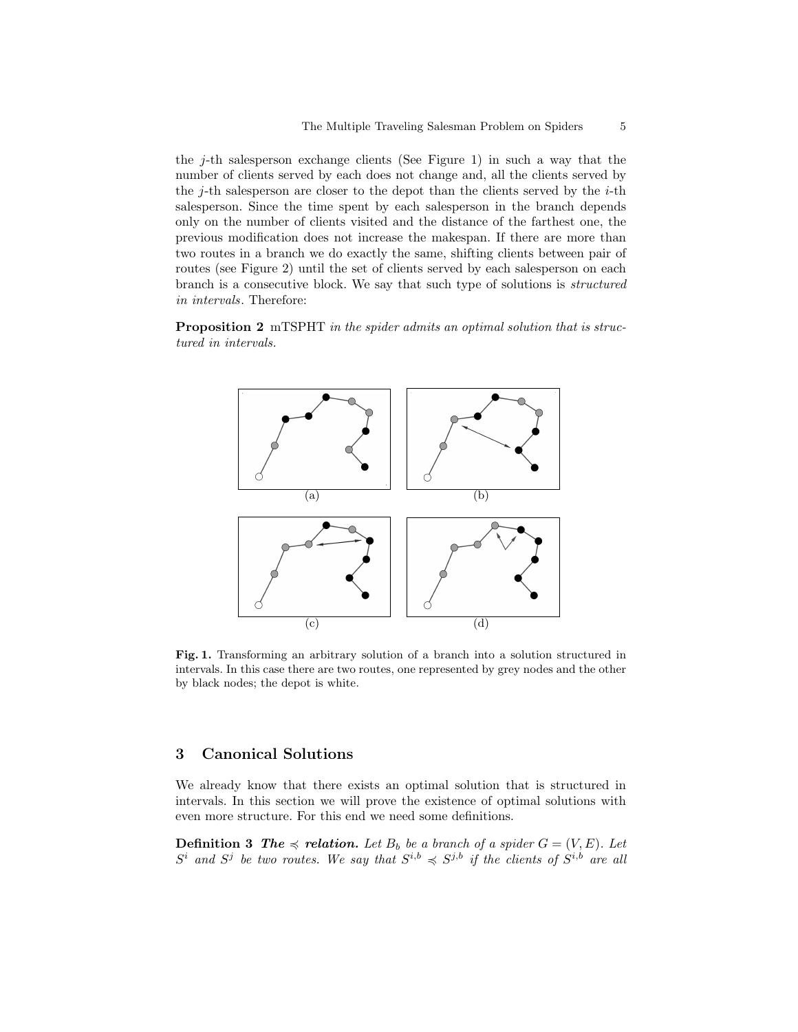the  $j$ -th salesperson exchange clients (See Figure 1) in such a way that the number of clients served by each does not change and, all the clients served by the  $j$ -th salesperson are closer to the depot than the clients served by the  $i$ -th salesperson. Since the time spent by each salesperson in the branch depends only on the number of clients visited and the distance of the farthest one, the previous modification does not increase the makespan. If there are more than two routes in a branch we do exactly the same, shifting clients between pair of routes (see Figure 2) until the set of clients served by each salesperson on each branch is a consecutive block. We say that such type of solutions is structured in intervals. Therefore:

**Proposition 2** mTSPHT in the spider admits an optimal solution that is structured in intervals.



Fig. 1. Transforming an arbitrary solution of a branch into a solution structured in intervals. In this case there are two routes, one represented by grey nodes and the other by black nodes; the depot is white.

# 3 Canonical Solutions

We already know that there exists an optimal solution that is structured in intervals. In this section we will prove the existence of optimal solutions with even more structure. For this end we need some definitions.

**Definition 3** The  $\preccurlyeq$  relation. Let  $B_b$  be a branch of a spider  $G = (V, E)$ . Let  $S^i$  and  $S^j$  be two routes. We say that  $S^{i,b} \preccurlyeq S^{j,b}$  if the clients of  $S^{i,b}$  are all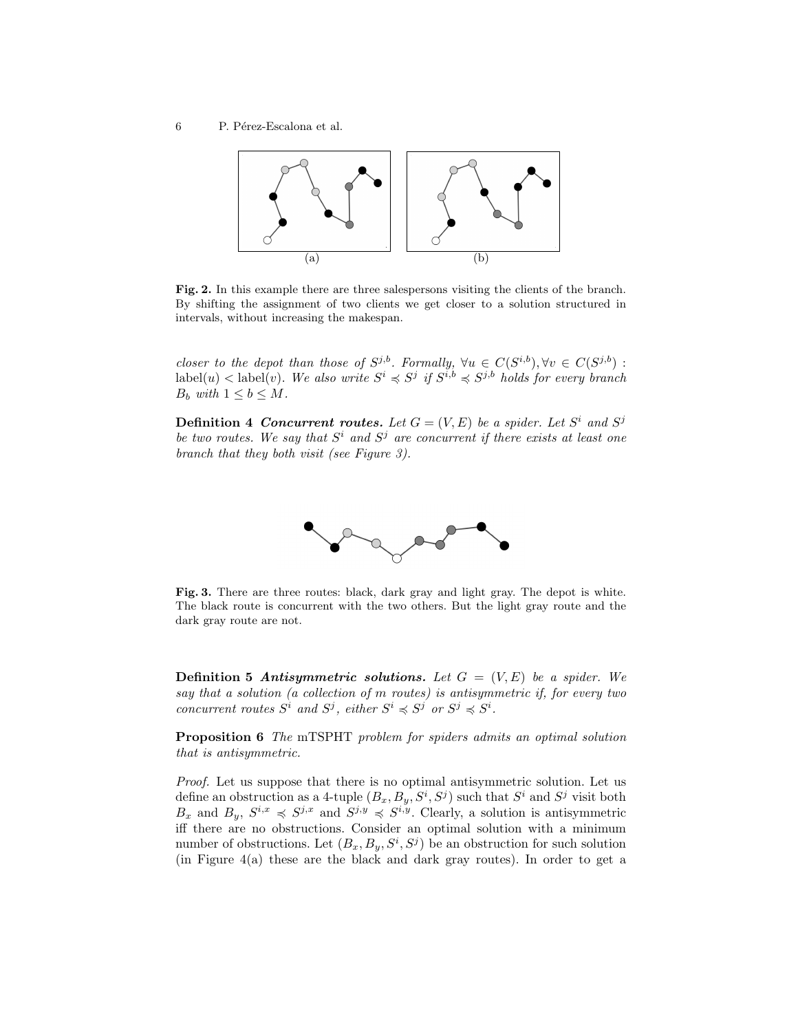

Fig. 2. In this example there are three salespersons visiting the clients of the branch. By shifting the assignment of two clients we get closer to a solution structured in intervals, without increasing the makespan.

closer to the depot than those of  $S^{j,b}$ . Formally,  $\forall u \in C(S^{i,b}), \forall v \in C(S^{j,b})$ :  $a \text{label}(u) < \text{label}(v)$ . We also write  $S^i \preccurlyeq S^j$  if  $S^{i,b} \preccurlyeq S^{j,b}$  holds for every branch  $B_b$  with  $1 \leq b \leq M$ .

**Definition 4 Concurrent routes.** Let  $G = (V, E)$  be a spider. Let  $S^i$  and  $S^j$ be two routes. We say that  $S^i$  and  $S^j$  are concurrent if there exists at least one branch that they both visit (see Figure 3).



Fig. 3. There are three routes: black, dark gray and light gray. The depot is white. The black route is concurrent with the two others. But the light gray route and the dark gray route are not.

**Definition 5 Antisymmetric solutions.** Let  $G = (V, E)$  be a spider. We say that a solution (a collection of m routes) is antisymmetric if, for every two concurrent routes  $S^i$  and  $S^j$ , either  $S^i \preccurlyeq S^j$  or  $S^j \preccurlyeq S^i$ .

Proposition 6 The mTSPHT problem for spiders admits an optimal solution that is antisymmetric.

Proof. Let us suppose that there is no optimal antisymmetric solution. Let us define an obstruction as a 4-tuple  $(B_x, B_y, S^i, S^j)$  such that  $S^i$  and  $S^j$  visit both  $B_x$  and  $B_y$ ,  $S^{i,x} \preccurlyeq S^{j,x}$  and  $S^{j,y} \preccurlyeq S^{i,y}$ . Clearly, a solution is antisymmetric iff there are no obstructions. Consider an optimal solution with a minimum number of obstructions. Let  $(B_x, B_y, S^i, S^j)$  be an obstruction for such solution (in Figure 4(a) these are the black and dark gray routes). In order to get a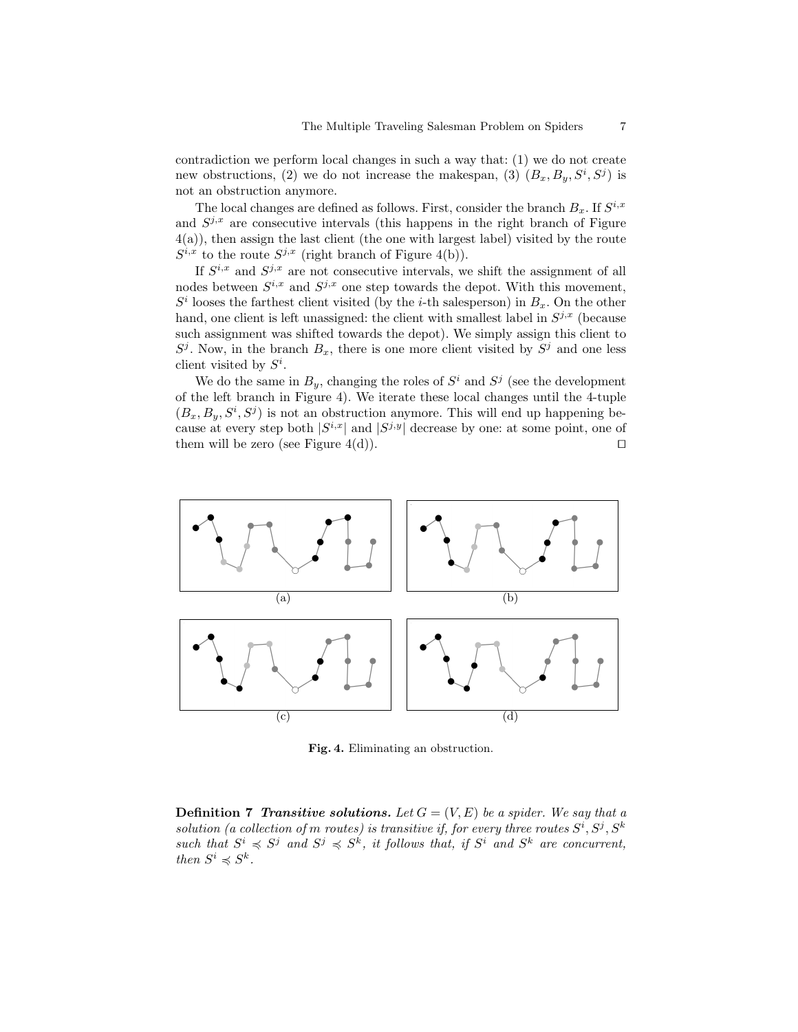contradiction we perform local changes in such a way that: (1) we do not create new obstructions, (2) we do not increase the makespan, (3)  $(B_x, B_y, S^i, S^j)$  is not an obstruction anymore.

The local changes are defined as follows. First, consider the branch  $B_x$ . If  $S^{i,x}$ and  $S^{j,x}$  are consecutive intervals (this happens in the right branch of Figure 4(a)), then assign the last client (the one with largest label) visited by the route  $S^{i,x}$  to the route  $S^{j,x}$  (right branch of Figure 4(b)).

If  $S^{i,x}$  and  $S^{j,x}$  are not consecutive intervals, we shift the assignment of all nodes between  $S^{i,x}$  and  $S^{j,x}$  one step towards the depot. With this movement,  $S<sup>i</sup>$  looses the farthest client visited (by the *i*-th salesperson) in  $B<sub>x</sub>$ . On the other hand, one client is left unassigned: the client with smallest label in  $S^{j,x}$  (because such assignment was shifted towards the depot). We simply assign this client to  $S^j$ . Now, in the branch  $B_x$ , there is one more client visited by  $S^j$  and one less client visited by  $S^i$ .

We do the same in  $B_y$ , changing the roles of  $S^i$  and  $S^j$  (see the development of the left branch in Figure 4). We iterate these local changes until the 4-tuple  $(B_x, B_y, S^i, S^j)$  is not an obstruction anymore. This will end up happening because at every step both  $|S^{i,x}|$  and  $|S^{j,y}|$  decrease by one: at some point, one of them will be zero (see Figure 4(d)).  $\square$ 



Fig. 4. Eliminating an obstruction.

**Definition 7 Transitive solutions.** Let  $G = (V, E)$  be a spider. We say that a solution (a collection of m routes) is transitive if, for every three routes  $S^i, S^j, S^k$ such that  $S^i \preccurlyeq S^j$  and  $S^j \preccurlyeq S^k$ , it follows that, if  $S^i$  and  $S^k$  are concurrent, then  $S^i \preccurlyeq S^k$ .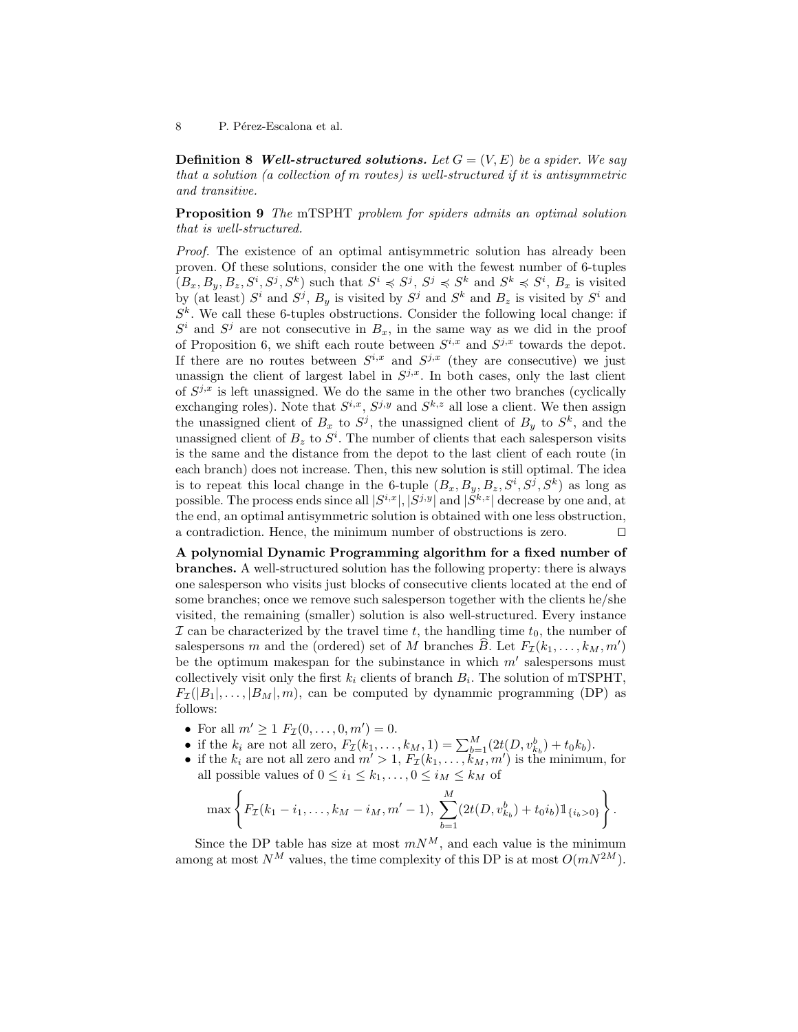**Definition 8 Well-structured solutions.** Let  $G = (V, E)$  be a spider. We say that a solution (a collection of m routes) is well-structured if it is antisymmetric and transitive.

Proposition 9 The mTSPHT problem for spiders admits an optimal solution that is well-structured.

Proof. The existence of an optimal antisymmetric solution has already been proven. Of these solutions, consider the one with the fewest number of 6-tuples  $(B_x, B_y, B_z, S^i, S^j, S^k)$  such that  $S^i \preccurlyeq S^j$ ,  $S^j \preccurlyeq S^k$  and  $S^k \preccurlyeq S^i$ ,  $B_x$  is visited by (at least)  $S^i$  and  $S^j$ ,  $B_y$  is visited by  $S^j$  and  $S^k$  and  $B_z$  is visited by  $S^i$  and  $S<sup>k</sup>$ . We call these 6-tuples obstructions. Consider the following local change: if  $S^i$  and  $S^j$  are not consecutive in  $B_x$ , in the same way as we did in the proof of Proposition 6, we shift each route between  $S^{i,x}$  and  $S^{j,x}$  towards the depot. If there are no routes between  $S^{i,x}$  and  $S^{j,x}$  (they are consecutive) we just unassign the client of largest label in  $S^{j,x}$ . In both cases, only the last client of  $S^{j,x}$  is left unassigned. We do the same in the other two branches (cyclically exchanging roles). Note that  $S^{i,x}$ ,  $S^{j,y}$  and  $S^{k,z}$  all lose a client. We then assign the unassigned client of  $B_x$  to  $S^j$ , the unassigned client of  $B_y$  to  $S^k$ , and the unassigned client of  $B_z$  to  $S^i$ . The number of clients that each salesperson visits is the same and the distance from the depot to the last client of each route (in each branch) does not increase. Then, this new solution is still optimal. The idea is to repeat this local change in the 6-tuple  $(B_x, B_y, B_z, S^i, S^j, S^k)$  as long as possible. The process ends since all  $|S^{i,x}|, |S^{j,y}|$  and  $|S^{k,z}|$  decrease by one and, at the end, an optimal antisymmetric solution is obtained with one less obstruction, a contradiction. Hence, the minimum number of obstructions is zero.  $\Box$ 

A polynomial Dynamic Programming algorithm for a fixed number of branches. A well-structured solution has the following property: there is always one salesperson who visits just blocks of consecutive clients located at the end of some branches; once we remove such salesperson together with the clients he/she visited, the remaining (smaller) solution is also well-structured. Every instance  $\mathcal I$  can be characterized by the travel time t, the handling time  $t_0$ , the number of salespersons m and the (ordered) set of M branches  $\widehat{B}$ . Let  $F_{\mathcal{I}}(k_1, \ldots, k_M, m')$ be the optimum makespan for the subinstance in which  $m'$  salespersons must collectively visit only the first  $k_i$  clients of branch  $B_i$ . The solution of mTSPHT,  $F_{\mathcal{I}}(|B_1|,\ldots,|B_M|,m)$ , can be computed by dynammic programming (DP) as follows:

- For all  $m' \ge 1$   $F_{\mathcal{I}}(0, \ldots, 0, m') = 0$ .
- if the  $k_i$  are not all zero,  $F_{\mathcal{I}}(k_1, ..., k_M, 1) = \sum_{b=1}^M (2t(D, v_{k_b}^b) + t_0k_b).$
- if the  $k_i$  are not all zero and  $m' > 1$ ,  $F_{\mathcal{I}}(k_1, \ldots, k_M, m')$  is the minimum, for all possible values of  $0 \leq i_1 \leq k_1, \ldots, 0 \leq i_M \leq k_M$  of

$$
\max\left\{F_{\mathcal{I}}(k_1-i_1,\ldots,k_M-i_M,m'-1),\ \sum_{b=1}^M(2t(D,v_{k_b}^b)+t_0i_b)\mathbb{1}_{\{i_b>0\}}\right\}.
$$

Since the DP table has size at most  $mN^M$ , and each value is the minimum among at most  $N^M$  values, the time complexity of this DP is at most  $O(mN^{2M})$ .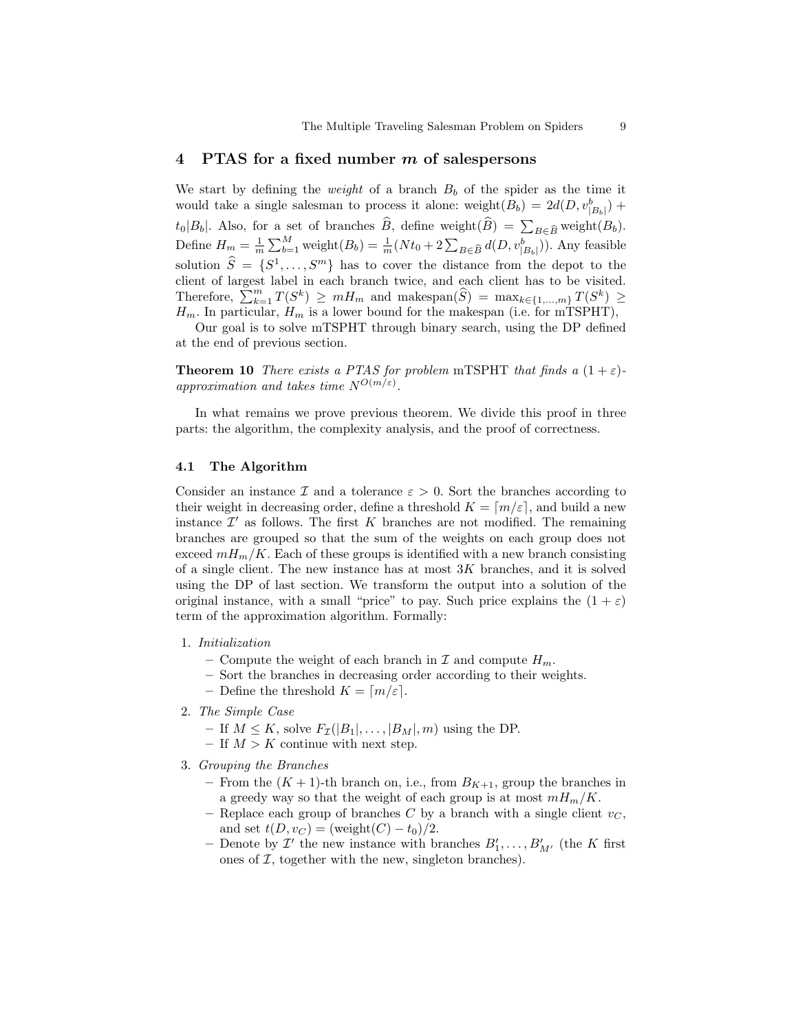## 4 PTAS for a fixed number m of salespersons

We start by defining the *weight* of a branch  $B_b$  of the spider as the time it would take a single salesman to process it alone: weight $(B_b) = 2d(D, v_{|B_b|}^b)$  +  $t_0|B_b|$ . Also, for a set of branches B, define weight $(B) = \sum_{B \in \widehat{B}}$  weight $(B_b)$ . Define  $H_m = \frac{1}{m} \sum_{b=1}^{M}$  weight $(B_b) = \frac{1}{m}(Nt_0 + 2 \sum_{B \in \widehat{B}} d(D, v_{|B_b|}^b))$ . Any feasible solution  $\widehat{S} = \{S^1, \ldots, S^m\}$  has to cover the distance from the depot to the client of largest label in each branch twice, and each client has to be visited. Therefore,  $\sum_{k=1}^{m} T(S^k) \geq m H_m$  and makespan $(\widehat{S}) = \max_{k \in \{1, ..., m\}} T(S^k) \geq$  $H_m$ . In particular,  $H_m$  is a lower bound for the makespan (i.e. for mTSPHT),

Our goal is to solve mTSPHT through binary search, using the DP defined at the end of previous section.

**Theorem 10** There exists a PTAS for problem mTSPHT that finds a  $(1 + \varepsilon)$ approximation and takes time  $N^{O(m/\varepsilon)}$ .

In what remains we prove previous theorem. We divide this proof in three parts: the algorithm, the complexity analysis, and the proof of correctness.

#### 4.1 The Algorithm

Consider an instance  $\mathcal I$  and a tolerance  $\varepsilon > 0$ . Sort the branches according to their weight in decreasing order, define a threshold  $K = \lfloor m/\varepsilon \rfloor$ , and build a new instance  $\mathcal{I}'$  as follows. The first K branches are not modified. The remaining branches are grouped so that the sum of the weights on each group does not exceed  $mH_m/K$ . Each of these groups is identified with a new branch consisting of a single client. The new instance has at most  $3K$  branches, and it is solved using the DP of last section. We transform the output into a solution of the original instance, with a small "price" to pay. Such price explains the  $(1 + \varepsilon)$ term of the approximation algorithm. Formally:

- 1. Initialization
	- Compute the weight of each branch in  $\mathcal I$  and compute  $H_m$ .
	- Sort the branches in decreasing order according to their weights.
	- Define the threshold  $K = \lceil m/\varepsilon \rceil$ .
- 2. The Simple Case
	- If  $M \leq K$ , solve  $F_{\mathcal{I}}(|B_1|, \ldots, |B_M|, m)$  using the DP.
	- If  $M > K$  continue with next step.
- 3. Grouping the Branches
	- From the  $(K + 1)$ -th branch on, i.e., from  $B_{K+1}$ , group the branches in a greedy way so that the weight of each group is at most  $mH_m/K$ .
	- Replace each group of branches C by a branch with a single client  $v_C$ , and set  $t(D, v_C) = (\text{weight}(C) - t_0)/2$ .
	- Denote by  $\mathcal{I}'$  the new instance with branches  $B'_1, \ldots, B'_{M'}$  (the K first ones of  $I$ , together with the new, singleton branches).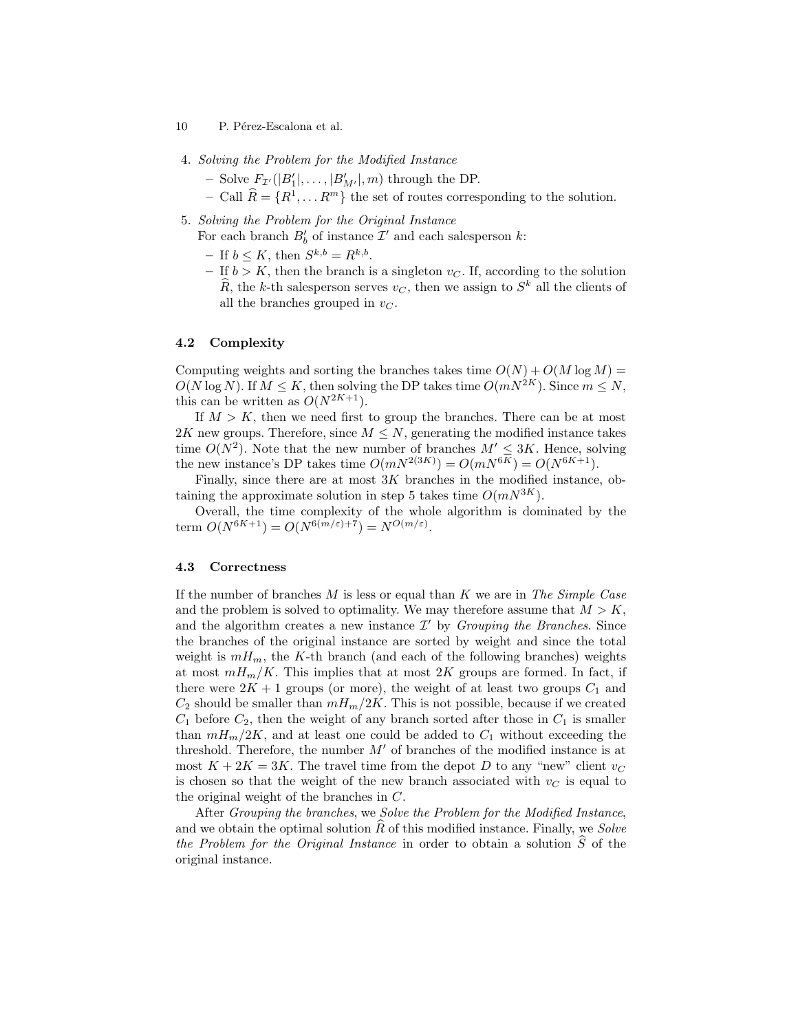- 10 P. Pérez-Escalona et al.
- 4. Solving the Problem for the Modified Instance
	- Solve  $F_{\mathcal{I}}(|B'_1|, \ldots, |B'_{M'}|, m)$  through the DP.
	- $-$  Call  $\widehat{R} = \{R^1, \ldots R^m\}$  the set of routes corresponding to the solution.
- 5. Solving the Problem for the Original Instance For each branch  $B_b'$  of instance  $\mathcal{I}'$  and each salesperson  $k$ :
	- $-$  If  $b \leq K$ , then  $S^{k,b} = R^{k,b}$ .
	- If  $b > K$ , then the branch is a singleton  $v_C$ . If, according to the solution  $\widehat{R}$ , the k-th salesperson serves  $v_C$ , then we assign to  $S^k$  all the clients of all the branches grouped in  $v_C$ .

## 4.2 Complexity

Computing weights and sorting the branches takes time  $O(N) + O(M \log M)$  $O(N \log N)$ . If  $M \leq K$ , then solving the DP takes time  $O(mN^{2K})$ . Since  $m \leq N$ , this can be written as  $O(N^{2K+1})$ .

If  $M > K$ , then we need first to group the branches. There can be at most 2K new groups. Therefore, since  $M \leq N$ , generating the modified instance takes time  $O(N^2)$ . Note that the new number of branches  $M' \leq 3K$ . Hence, solving the new instance's DP takes time  $O(mN^{2(3K)}) = O(mN^{6K}) = O(N^{6K+1}).$ 

Finally, since there are at most  $3K$  branches in the modified instance, obtaining the approximate solution in step 5 takes time  $O(mN^{3K})$ .

Overall, the time complexity of the whole algorithm is dominated by the term  $O(N^{6K+1}) = O(N^{6(m/\varepsilon)+7}) = N^{O(m/\varepsilon)}$ .

### 4.3 Correctness

If the number of branches  $M$  is less or equal than  $K$  we are in The Simple Case and the problem is solved to optimality. We may therefore assume that  $M > K$ , and the algorithm creates a new instance  $\mathcal{I}'$  by *Grouping the Branches*. Since the branches of the original instance are sorted by weight and since the total weight is  $mH_m$ , the K-th branch (and each of the following branches) weights at most  $mH_m/K$ . This implies that at most 2K groups are formed. In fact, if there were  $2K + 1$  groups (or more), the weight of at least two groups  $C_1$  and  $C_2$  should be smaller than  $mH_m/2K$ . This is not possible, because if we created  $C_1$  before  $C_2$ , then the weight of any branch sorted after those in  $C_1$  is smaller than  $mH_m/2K$ , and at least one could be added to  $C_1$  without exceeding the threshold. Therefore, the number  $M'$  of branches of the modified instance is at most  $K + 2K = 3K$ . The travel time from the depot D to any "new" client  $v<sub>C</sub>$ is chosen so that the weight of the new branch associated with  $v<sub>C</sub>$  is equal to the original weight of the branches in C.

After Grouping the branches, we Solve the Problem for the Modified Instance, and we obtain the optimal solution  $R$  of this modified instance. Finally, we Solve the Problem for the Original Instance in order to obtain a solution  $\widehat{S}$  of the original instance.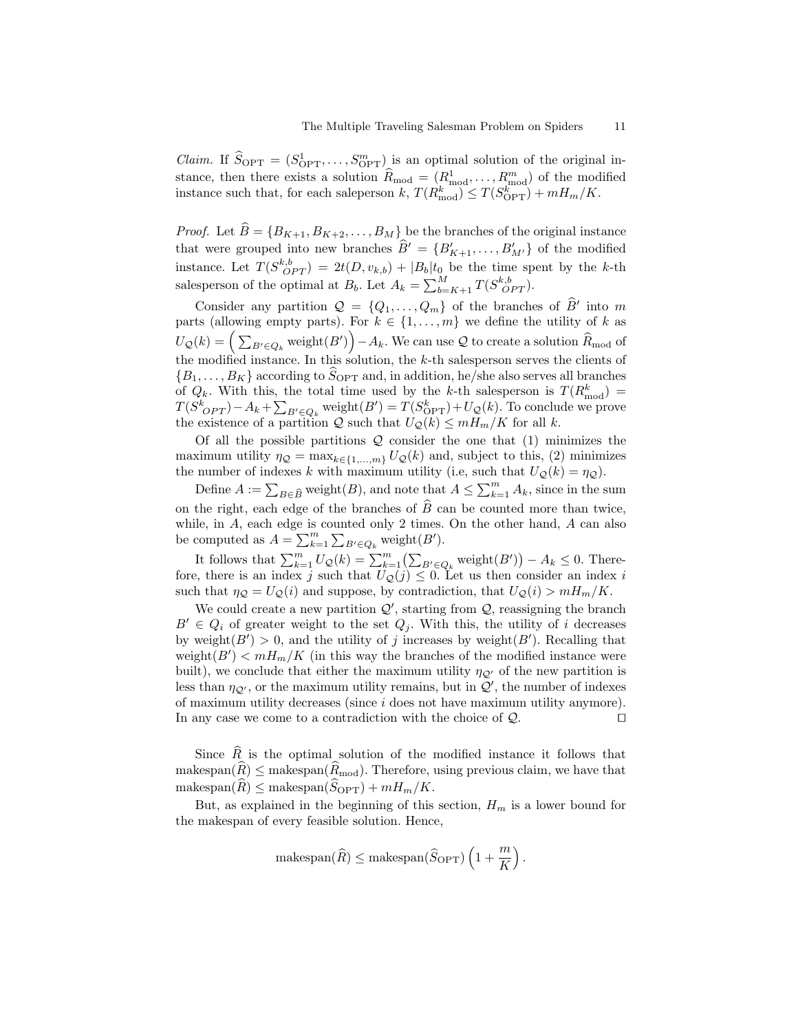*Claim.* If  $\widehat{S}_{\text{OPT}} = (S_{\text{OPT}}^1, \ldots, S_{\text{OPT}}^m)$  is an optimal solution of the original instance, then there exists a solution  $\widehat{R}_{\text{mod}} = (R_{\text{mod}}^1, \ldots, R_{\text{mod}}^m)$  of the modified instance such that, for each saleperson k,  $T(R_{\text{mod}}^k) \le T(S_{\text{OPT}}^k) + mH_m/K$ .

*Proof.* Let  $\widehat{B} = \{B_{K+1}, B_{K+2}, \ldots, B_M\}$  be the branches of the original instance that were grouped into new branches  $\widehat{B}' = \{B'_{K+1}, \ldots, B'_{M'}\}$  of the modified instance. Let  $T(S_{OPT}^{k,b}) = 2t(D, v_{k,b}) + |B_b|t_0$  be the time spent by the k-th salesperson of the optimal at  $B_b$ . Let  $A_k = \sum_{b=K+1}^{M} T(S_{OPT}^{k,b})$ .

Consider any partition  $\mathcal{Q} = \{Q_1, \ldots, Q_m\}$  of the branches of  $\widehat{B}^{\prime}$  into m parts (allowing empty parts). For  $k \in \{1, \ldots, m\}$  we define the utility of k as  $U_{\mathcal{Q}}(k) = \Big(\sum_{B'\in Q_k} \text{weight}(B')\Big) - A_k.$  We can use  $\mathcal Q$  to create a solution  $\widehat{R}_{\rm mod}$  of the modified instance. In this solution, the  $k$ -th salesperson serves the clients of  ${B_1, \ldots, B_K}$  according to  $S_{\text{OPT}}$  and, in addition, he/she also serves all branches of  $Q_k$ . With this, the total time used by the k-th salesperson is  $T(R_{\text{mod}}^k)$  =  $T(S^k_{OPT}) - A_k + \sum_{B' \in Q_k}$  weight $(B') = T(S^k_{OPT}) + U_{\mathcal{Q}}(k)$ . To conclude we prove the existence of a partition  $Q$  such that  $U_Q(k) \leq mH_m/K$  for all k.

Of all the possible partitions  $Q$  consider the one that (1) minimizes the maximum utility  $\eta_{\mathcal{Q}} = \max_{k \in \{1, ..., m\}} U_{\mathcal{Q}}(k)$  and, subject to this, (2) minimizes the number of indexes k with maximum utility (i.e, such that  $U_Q(k) = \eta_Q$ ).

Define  $A := \sum_{B \in \widehat{B}} \text{weight}(B)$ , and note that  $A \leq \sum_{k=1}^{m} A_k$ , since in the sum on the right, each edge of the branches of  $\hat{B}$  can be counted more than twice, while, in A, each edge is counted only 2 times. On the other hand, A can also be computed as  $A = \sum_{k=1}^{m} \sum_{B' \in Q_k}$  weight $(B')$ .

It follows that  $\sum_{k=1}^m U_{\mathcal{Q}}(k) = \sum_{k=1}^m (\sum_{B' \in Q_k} \text{weight}(B')) - A_k \leq 0$ . Therefore, there is an index j such that  $U_{\mathcal{Q}}(j) \leq 0$ . Let us then consider an index i such that  $\eta_{\mathcal{Q}} = U_{\mathcal{Q}}(i)$  and suppose, by contradiction, that  $U_{\mathcal{Q}}(i) > mH_m/K$ .

We could create a new partition  $\mathcal{Q}'$ , starting from  $\mathcal{Q}$ , reassigning the branch  $B' \in Q_i$  of greater weight to the set  $Q_i$ . With this, the utility of i decreases by weight $(B') > 0$ , and the utility of j increases by weight $(B')$ . Recalling that weight $(B') < mH_m/K$  (in this way the branches of the modified instance were built), we conclude that either the maximum utility  $\eta_{\mathcal{Q}'}$  of the new partition is less than  $\eta_{\mathcal{Q}}$ , or the maximum utility remains, but in  $\mathcal{Q}'$ , the number of indexes of maximum utility decreases (since i does not have maximum utility anymore). In any case we come to a contradiction with the choice of  $\mathcal{Q}$ .

Since  $\widehat{R}$  is the optimal solution of the modified instance it follows that makespan $(\widehat{R}) \leq$  makespan $(\widehat{R}_{\text{mod}})$ . Therefore, using previous claim, we have that  $m$ akespan $(\widehat{R}) \leq m$ akespan $(\widehat{S}_{\text{OPT}}) + mH_m/K$ .

But, as explained in the beginning of this section,  $H_m$  is a lower bound for the makespan of every feasible solution. Hence,

$$
\text{makespan}(\widehat{R}) \leq \text{makespan}(\widehat{S}_{\text{OPT}})\left(1 + \frac{m}{K}\right).
$$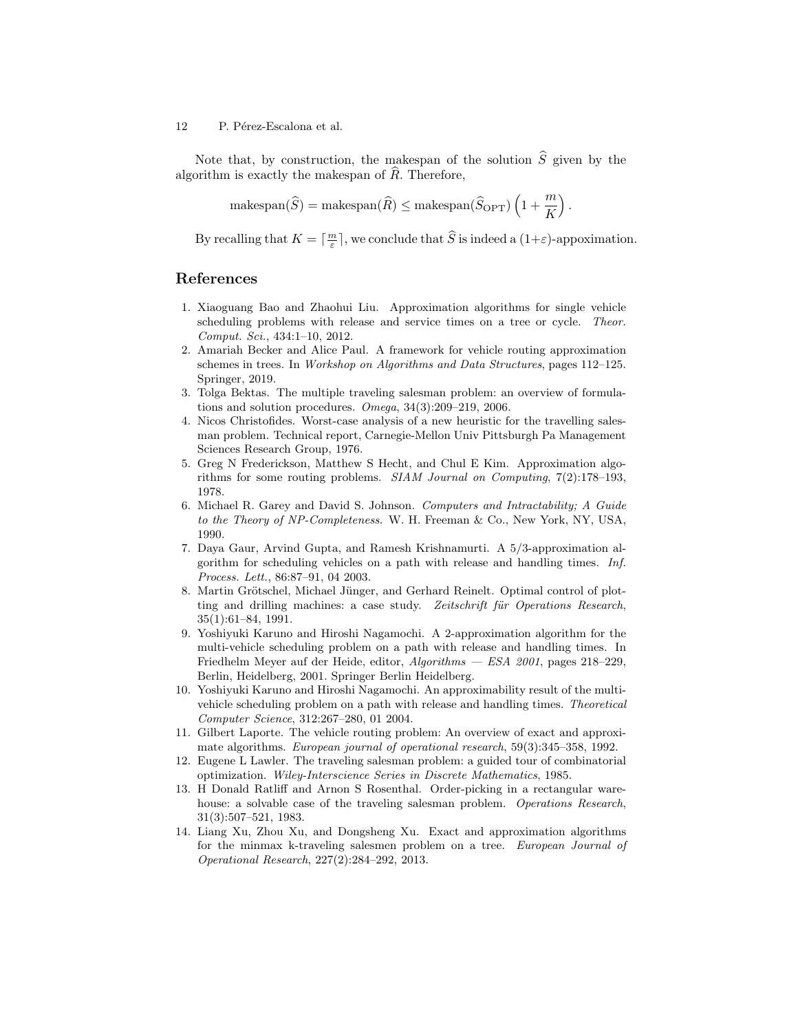Note that, by construction, the makespan of the solution  $\hat{S}$  given by the algorithm is exactly the makespan of  $R$ . Therefore,

$$
\text{makespan}(\widehat{S}) = \text{makespan}(\widehat{R}) \leq \text{makespan}(\widehat{S}_{\text{OPT}}) \left( 1 + \frac{m}{K} \right).
$$

By recalling that  $K = \lceil \frac{m}{\varepsilon} \rceil$ , we conclude that  $\widehat{S}$  is indeed a  $(1+\varepsilon)$ -appoximation.

# References

- 1. Xiaoguang Bao and Zhaohui Liu. Approximation algorithms for single vehicle scheduling problems with release and service times on a tree or cycle. Theor. Comput. Sci., 434:1–10, 2012.
- 2. Amariah Becker and Alice Paul. A framework for vehicle routing approximation schemes in trees. In Workshop on Algorithms and Data Structures, pages 112–125. Springer, 2019.
- 3. Tolga Bektas. The multiple traveling salesman problem: an overview of formulations and solution procedures. Omega, 34(3):209–219, 2006.
- 4. Nicos Christofides. Worst-case analysis of a new heuristic for the travelling salesman problem. Technical report, Carnegie-Mellon Univ Pittsburgh Pa Management Sciences Research Group, 1976.
- 5. Greg N Frederickson, Matthew S Hecht, and Chul E Kim. Approximation algorithms for some routing problems. SIAM Journal on Computing, 7(2):178–193, 1978.
- 6. Michael R. Garey and David S. Johnson. Computers and Intractability; A Guide to the Theory of NP-Completeness. W. H. Freeman & Co., New York, NY, USA, 1990.
- 7. Daya Gaur, Arvind Gupta, and Ramesh Krishnamurti. A 5/3-approximation algorithm for scheduling vehicles on a path with release and handling times. Inf. Process. Lett., 86:87–91, 04 2003.
- 8. Martin Grötschel, Michael Jünger, and Gerhard Reinelt. Optimal control of plotting and drilling machines: a case study. Zeitschrift für Operations Research, 35(1):61–84, 1991.
- 9. Yoshiyuki Karuno and Hiroshi Nagamochi. A 2-approximation algorithm for the multi-vehicle scheduling problem on a path with release and handling times. In Friedhelm Meyer auf der Heide, editor, Algorithms — ESA 2001, pages 218–229, Berlin, Heidelberg, 2001. Springer Berlin Heidelberg.
- 10. Yoshiyuki Karuno and Hiroshi Nagamochi. An approximability result of the multivehicle scheduling problem on a path with release and handling times. Theoretical Computer Science, 312:267–280, 01 2004.
- 11. Gilbert Laporte. The vehicle routing problem: An overview of exact and approximate algorithms. European journal of operational research, 59(3):345–358, 1992.
- 12. Eugene L Lawler. The traveling salesman problem: a guided tour of combinatorial optimization. Wiley-Interscience Series in Discrete Mathematics, 1985.
- 13. H Donald Ratliff and Arnon S Rosenthal. Order-picking in a rectangular warehouse: a solvable case of the traveling salesman problem. Operations Research, 31(3):507–521, 1983.
- 14. Liang Xu, Zhou Xu, and Dongsheng Xu. Exact and approximation algorithms for the minmax k-traveling salesmen problem on a tree. European Journal of Operational Research, 227(2):284–292, 2013.